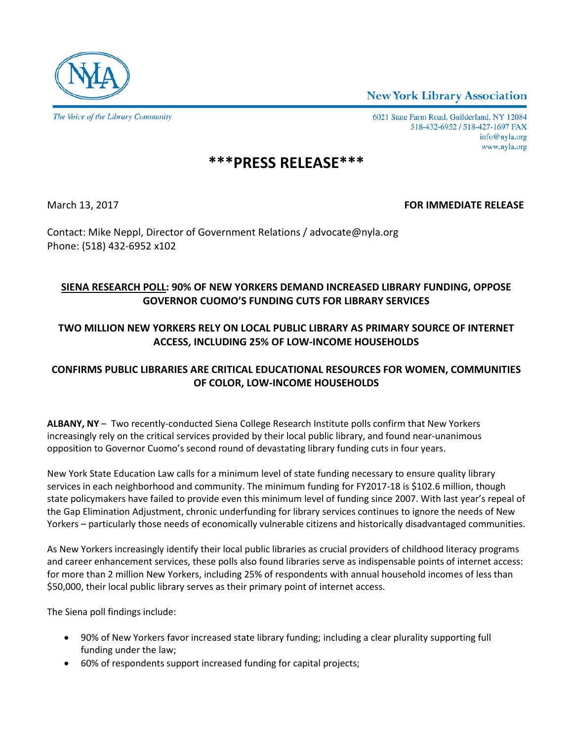**New York Library Association** 



6021 State Farm Road, Guilderland, NY 12084 518-432-6952 / 518-427-1697 FAX info@nyla.org www.nyla.org

# **\*\*\*PRESS RELEASE\*\*\***

#### March 13, 2017 **FOR IMMEDIATE RELEASE**

Contact: Mike Neppl, Director of Government Relations / advocate@nyla.org Phone: (518) 432-6952 x102

## **SIENA RESEARCH POLL: 90% OF NEW YORKERS DEMAND INCREASED LIBRARY FUNDING, OPPOSE GOVERNOR CUOMO'S FUNDING CUTS FOR LIBRARY SERVICES**

## **TWO MILLION NEW YORKERS RELY ON LOCAL PUBLIC LIBRARY AS PRIMARY SOURCE OF INTERNET ACCESS, INCLUDING 25% OF LOW-INCOME HOUSEHOLDS**

## **CONFIRMS PUBLIC LIBRARIES ARE CRITICAL EDUCATIONAL RESOURCES FOR WOMEN, COMMUNITIES OF COLOR, LOW-INCOME HOUSEHOLDS**

**ALBANY, NY** – Two recently-conducted Siena College Research Institute polls confirm that New Yorkers increasingly rely on the critical services provided by their local public library, and found near-unanimous opposition to Governor Cuomo's second round of devastating library funding cuts in four years.

New York State Education Law calls for a minimum level of state funding necessary to ensure quality library services in each neighborhood and community. The minimum funding for FY2017-18 is \$102.6 million, though state policymakers have failed to provide even this minimum level of funding since 2007. With last year's repeal of the Gap Elimination Adjustment, chronic underfunding for library services continues to ignore the needs of New Yorkers – particularly those needs of economically vulnerable citizens and historically disadvantaged communities.

As New Yorkers increasingly identify their local public libraries as crucial providers of childhood literacy programs and career enhancement services, these polls also found libraries serve as indispensable points of internet access: for more than 2 million New Yorkers, including 25% of respondents with annual household incomes of less than \$50,000, their local public library serves as their primary point of internet access.

The Siena poll findings include:

- 90% of New Yorkers favor increased state library funding; including a clear plurality supporting full funding under the law;
- 60% of respondents support increased funding for capital projects;